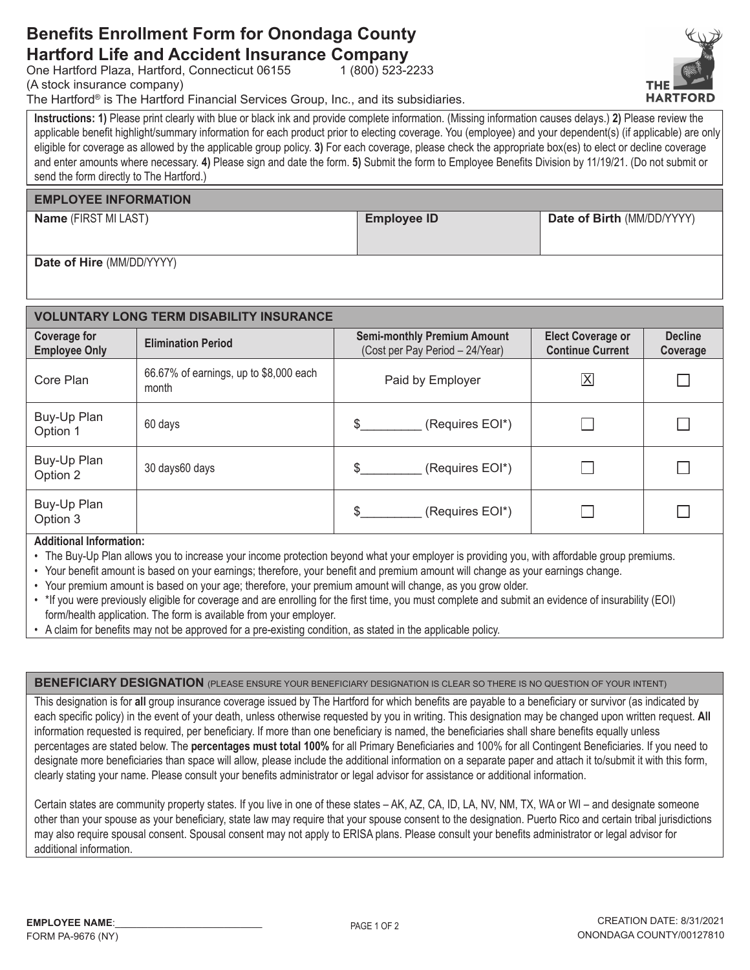## **Benefits Enrollment Form for Onondaga County Hartford Life and Accident Insurance Company**

One Hartford Plaza, Hartford, Connecticut 06155

(A stock insurance company)

The Hartford® is The Hartford Financial Services Group, Inc., and its subsidiaries.

Instructions: 1) Please print clearly with blue or black ink and provide complete information. (Missing information causes delays.) 2) Please review the applicable benefit highlight/summary information for each product prior to electing coverage. You (employee) and your dependent(s) (if applicable) are only eligible for coverage as allowed by the applicable group policy. 3) For each coverage, please check the appropriate box(es) to elect or decline coverage and enter amounts where necessary. 4) Please sign and date the form. 5) Submit the form to Employee Benefits Division by 11/19/21. (Do not submit or send the form directly to The Hartford.)

1 (800) 523-2233

### **EMPLOYEE INFORMATION**

Name (FIRST MI LAST)

**Employee ID** 

Date of Birth (MM/DD/YYYY)

Date of Hire (MM/DD/YYYY)

| <b>VOLUNTARY LONG TERM DISABILITY INSURANCE</b> |                                                 |                                                                       |                                                     |                            |  |  |  |  |
|-------------------------------------------------|-------------------------------------------------|-----------------------------------------------------------------------|-----------------------------------------------------|----------------------------|--|--|--|--|
| <b>Coverage for</b><br><b>Employee Only</b>     | <b>Elimination Period</b>                       | <b>Semi-monthly Premium Amount</b><br>(Cost per Pay Period - 24/Year) | <b>Elect Coverage or</b><br><b>Continue Current</b> | <b>Decline</b><br>Coverage |  |  |  |  |
| Core Plan                                       | 66.67% of earnings, up to \$8,000 each<br>month | Paid by Employer                                                      | $\overline{\mathsf{X}}$                             |                            |  |  |  |  |
| Buy-Up Plan<br>Option 1                         | 60 days                                         | (Requires EOI*)<br>\$.                                                |                                                     |                            |  |  |  |  |
| Buy-Up Plan<br>Option 2                         | 30 days60 days                                  | \$.<br>(Requires EOI*)                                                |                                                     |                            |  |  |  |  |
| Buy-Up Plan<br>Option 3                         |                                                 | (Requires EOI*)<br>\$.                                                |                                                     |                            |  |  |  |  |

#### **Additional Information:**

- The Buy-Up Plan allows you to increase your income protection beyond what your employer is providing you, with affordable group premiums.
- Your benefit amount is based on your earnings; therefore, your benefit and premium amount will change as your earnings change.
- . Your premium amount is based on your age; therefore, your premium amount will change, as you grow older.
- . \* If you were previously eligible for coverage and are enrolling for the first time, you must complete and submit an evidence of insurability (EOI) form/health application. The form is available from your employer.
- A claim for benefits may not be approved for a pre-existing condition, as stated in the applicable policy.

**BENEFICIARY DESIGNATION** (PLEASE ENSURE YOUR BENEFICIARY DESIGNATION IS CLEAR SO THERE IS NO QUESTION OF YOUR INTENT)

This designation is for all group insurance coverage issued by The Hartford for which benefits are payable to a beneficiary or survivor (as indicated by each specific policy) in the event of your death, unless otherwise requested by you in writing. This designation may be changed upon written request. All information requested is required, per beneficiary. If more than one beneficiary is named, the beneficiaries shall share benefits equally unless percentages are stated below. The percentages must total 100% for all Primary Beneficiaries and 100% for all Contingent Beneficiaries. If you need to designate more beneficiaries than space will allow, please include the additional information on a separate paper and attach it to/submit it with this form, clearly stating your name. Please consult your benefits administrator or legal advisor for assistance or additional information.

Certain states are community property states. If you live in one of these states - AK, AZ, CA, ID, LA, NV, NM, TX, WA or WI - and designate someone other than your spouse as your beneficiary, state law may require that your spouse consent to the designation. Puerto Rico and certain tribal jurisdictions may also require spousal consent. Spousal consent may not apply to ERISA plans. Please consult your benefits administrator or legal advisor for additional information.

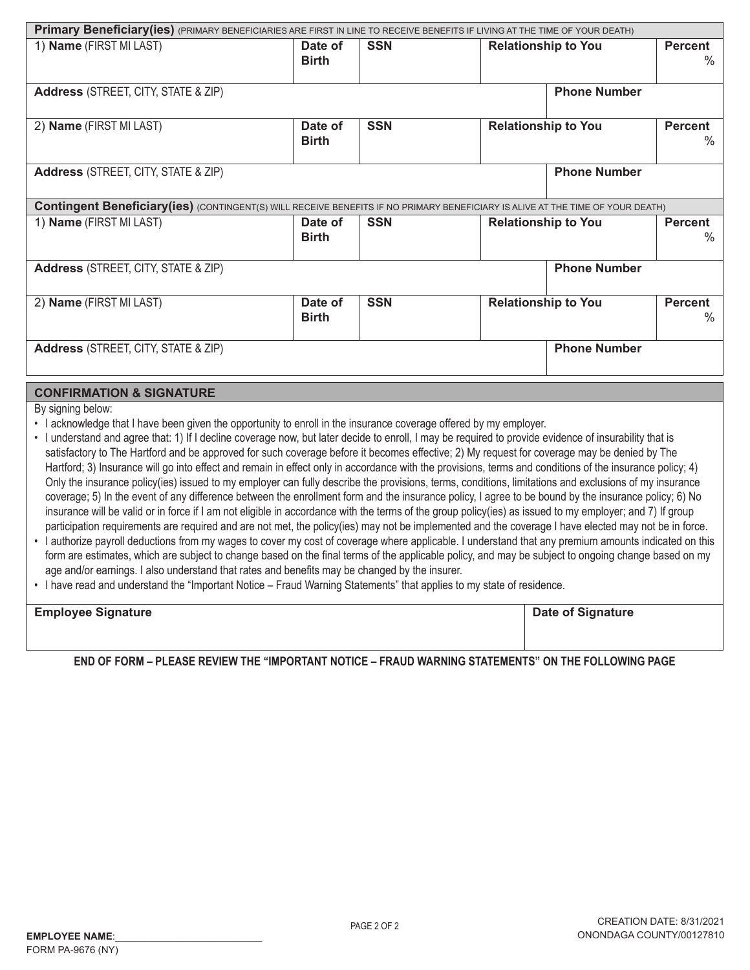| Primary Beneficiary(ies) (PRIMARY BENEFICIARIES ARE FIRST IN LINE TO RECEIVE BENEFITS IF LIVING AT THE TIME OF YOUR DEATH)             |                         |            |                                                      |                     |                        |  |  |
|----------------------------------------------------------------------------------------------------------------------------------------|-------------------------|------------|------------------------------------------------------|---------------------|------------------------|--|--|
| 1) Name (FIRST MI LAST)                                                                                                                | Date of<br><b>Birth</b> | <b>SSN</b> | <b>Relationship to You</b>                           |                     | <b>Percent</b><br>$\%$ |  |  |
| <b>Address</b> (STREET, CITY, STATE & ZIP)                                                                                             | <b>Phone Number</b>     |            |                                                      |                     |                        |  |  |
| 2) Name (FIRST MI LAST)                                                                                                                | Date of<br><b>Birth</b> | <b>SSN</b> | <b>Relationship to You</b><br><b>Percent</b>         |                     | ℅                      |  |  |
| <b>Phone Number</b><br><b>Address</b> (STREET, CITY, STATE & ZIP)                                                                      |                         |            |                                                      |                     |                        |  |  |
| <b>Contingent Beneficiary (ies)</b> (CONTINGENT(S) WILL RECEIVE BENEFITS IF NO PRIMARY BENEFICIARY IS ALIVE AT THE TIME OF YOUR DEATH) |                         |            |                                                      |                     |                        |  |  |
| 1) Name (FIRST MI LAST)                                                                                                                | Date of<br><b>Birth</b> | <b>SSN</b> | <b>Relationship to You</b><br><b>Percent</b><br>$\%$ |                     |                        |  |  |
| <b>Address</b> (STREET, CITY, STATE & ZIP)                                                                                             |                         |            |                                                      | <b>Phone Number</b> |                        |  |  |
| 2) Name (FIRST MI LAST)                                                                                                                | Date of<br><b>Birth</b> | <b>SSN</b> | <b>Relationship to You</b><br><b>Percent</b><br>$\%$ |                     |                        |  |  |
| <b>Address</b> (STREET, CITY, STATE & ZIP)                                                                                             |                         |            |                                                      | <b>Phone Number</b> |                        |  |  |

### **CONFIRMATION & SIGNATURE**

By signing below:

- I acknowledge that I have been given the opportunity to enroll in the insurance coverage offered by my employer.
- · I understand and agree that: 1) If I decline coverage now, but later decide to enroll, I may be required to provide evidence of insurability that is satisfactory to The Hartford and be approved for such coverage before it becomes effective; 2) My request for coverage may be denied by The Hartford; 3) Insurance will go into effect and remain in effect only in accordance with the provisions, terms and conditions of the insurance policy; 4) Only the insurance policy(ies) issued to my employer can fully describe the provisions, terms, conditions, limitations and exclusions of my insurance coverage; 5) In the event of any difference between the enrollment form and the insurance policy, I agree to be bound by the insurance policy; 6) No insurance will be valid or in force if I am not eligible in accordance with the terms of the group policy(ies) as issued to my employer; and 7) If group participation requirements are required and are not met, the policy(ies) may not be implemented and the coverage I have elected may not be in force.
- I authorize payroll deductions from my wages to cover my cost of coverage where applicable. I understand that any premium amounts indicated on this form are estimates, which are subject to change based on the final terms of the applicable policy, and may be subject to ongoing change based on my age and/or earnings. I also understand that rates and benefits may be changed by the insurer.
- . I have read and understand the "Important Notice Fraud Warning Statements" that applies to my state of residence.

| <b>Employee Signature</b> | <b>Date of Signature</b> |
|---------------------------|--------------------------|
|                           |                          |
|                           |                          |

END OF FORM – PLEASE REVIEW THE "IMPORTANT NOTICE – FRAUD WARNING STATEMENTS" ON THE FOLLOWING PAGE